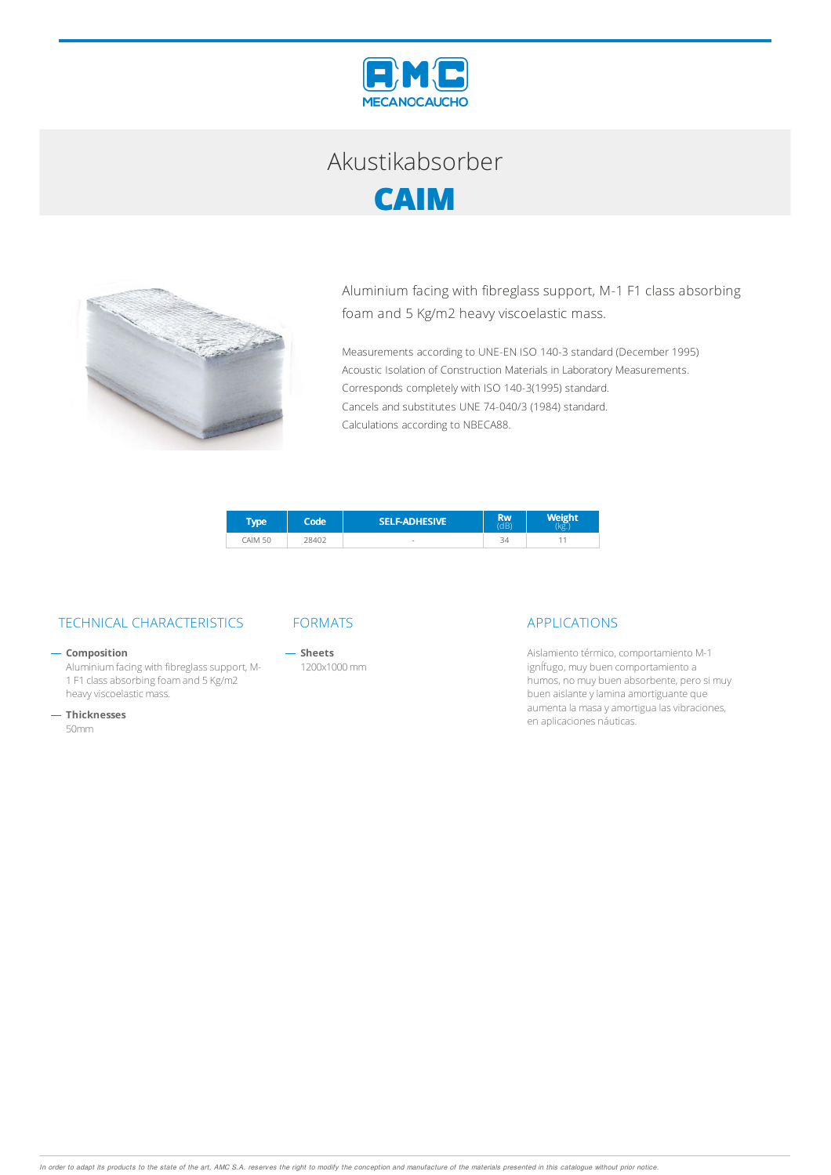

# Akustikabsorber **CAIM**



Aluminium facing with fibreglass support, M-1 F1 class absorbing foam and 5 Kg/m2 heavy viscoelastic mass.

Measurements according to UNE-EN ISO 140-3 standard (December 1995) Acoustic Isolation of Construction Materials in Laboratory Measurements. Corresponds completely with ISO 140-3(1995) standard. Cancels and substitutes UNE 74-040/3 (1984) standard. Calculations according to NBECA88.

|         | <b><i><u>Paris -</u></i></b> | <b>SELF-ADHESIVE</b> | Rw<br>(dB) |  |
|---------|------------------------------|----------------------|------------|--|
| `AIM 50 | 28402<br>+UZ                 | ×.                   | ÷<br>34    |  |

### TECHNICAL CHARACTERISTICS FORMATS APPLICATIONS

### $-$  Composition

Aluminium facing with fibreglass support, M-1 F1 class absorbing foam and 5 Kg/m2 heavy viscoelastic mass.

**Thicknesses**

50mm

 $-$  Sheets 1200x1000mm

Aislamiento térmico, comportamiento M-1 ignÍfugo, muy buen comportamiento a humos, no muy buen absorbente, pero si muy buen aislante y lamina amortiguante que aumenta la masa y amortigua las vibraciones, en aplicaciones náuticas.